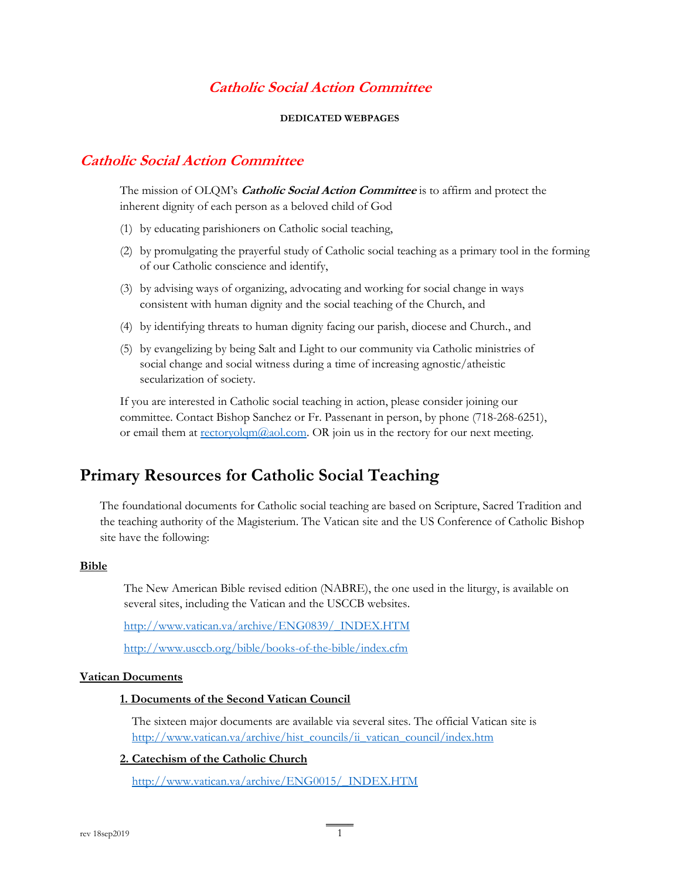# **Catholic Social Action Committee**

#### **DEDICATED WEBPAGES**

# **Catholic Social Action Committee**

The mission of OLQM's **Catholic Social Action Committee** is to affirm and protect the inherent dignity of each person as a beloved child of God

- (1) by educating parishioners on Catholic social teaching,
- (2) by promulgating the prayerful study of Catholic social teaching as a primary tool in the forming of our Catholic conscience and identify,
- (3) by advising ways of organizing, advocating and working for social change in ways consistent with human dignity and the social teaching of the Church, and
- (4) by identifying threats to human dignity facing our parish, diocese and Church., and
- (5) by evangelizing by being Salt and Light to our community via Catholic ministries of social change and social witness during a time of increasing agnostic/atheistic secularization of society.

If you are interested in Catholic social teaching in action, please consider joining our committee. Contact Bishop Sanchez or Fr. Passenant in person, by phone (718-268-6251), or email them at  $rectoryolqm@aol.com$ . OR join us in the rectory for our next meeting.</u>

# **Primary Resources for Catholic Social Teaching**

The foundational documents for Catholic social teaching are based on Scripture, Sacred Tradition and the teaching authority of the Magisterium. The Vatican site and the US Conference of Catholic Bishop site have the following:

#### **Bible**

The New American Bible revised edition (NABRE), the one used in the liturgy, is available on several sites, including the Vatican and the USCCB websites.

[http://www.vatican.va/archive/ENG0839/\\_INDEX.HTM](http://www.vatican.va/archive/ENG0839/_INDEX.HTM)

<http://www.usccb.org/bible/books-of-the-bible/index.cfm>

#### **Vatican Documents**

## **1. Documents of the Second Vatican Council**

The sixteen major documents are available via several sites. The official Vatican site is [http://www.vatican.va/archive/hist\\_councils/ii\\_vatican\\_council/index.htm](http://www.vatican.va/archive/hist_councils/ii_vatican_council/index.htm)

#### **2. Catechism of the Catholic Church**

[http://www.vatican.va/archive/ENG0015/\\_INDEX.HTM](http://www.vatican.va/archive/ENG0015/_INDEX.HTM)